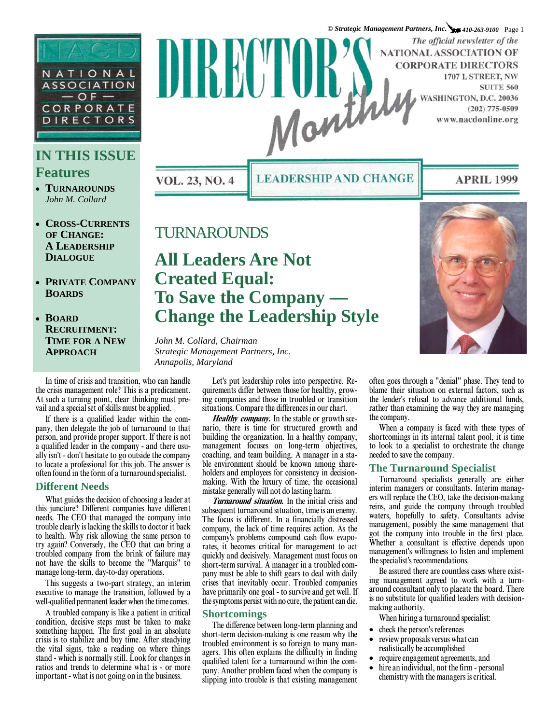

## **IN THIS ISSUE Features**

- **TURNAROUNDS** *John M. Collard*
- **CROSS-CURRENTS OF CHANGE: A LEADERSHIP DIALOGUE**
- **PRIVATE COMPANY BOARDS**
- **BOARD RECRUITMENT: TIME FOR A NEW APPROACH**

*© Strategic Management Partners, Inc. 410-263-9100* Page 1 The official newsletter of the NATIONAL ASSOCIATION OF IIKKII I **CORPORATE DIRECTORS** 1707 L STREET, NW **SUITE 560** Nanth WASHINGTON, D.C. 20036  $(202)$  775-0509 www.nacdonline.org

VOL. 23, NO. 4

**LEADERSHIP AND CHANGE** 

### **APRIL 1999**

## TURNAROUNDS

# **All Leaders Are Not Created Equal: To Save the Company — Change the Leadership Style**

*John M. Collard, Chairman Strategic Management Partners, Inc. Annapolis, Maryland* 

In time of crisis and transition, who can handle the crisis management role? This is a predicament. At such a turning point, clear thinking must prevail and a special set of skills must be applied.

If there is a qualified leader within the company, then delegate the job of turnaround to that person, and provide proper support. If there is not a qualified leader in the company - and there usually isn't - don't hesitate to go outside the company to locate a professional for this job. The answer is often found in the form of a turnaround specialist.

#### **Different Needs**

What guides the decision of choosing a leader at this juncture? Different companies have different needs. The CEO that managed the company into trouble clearly is lacking the skills to doctor it back to health. Why risk allowing the same person to try again? Conversely, the CEO that can bring a troubled company from the brink of failure may not have the skills to become the "Marquis" to manage long-term, day-to-day operations.

This suggests a two-part strategy, an interim executive to manage the transition, followed by a well-qualified permanent leader when the time comes.

A troubled company is like a patient in critical condition, decisive steps must be taken to make something happen. The first goal in an absolute crisis is to stabilize and buy time. After steadying the vital signs, take a reading on where things stand - which is normally still. Look for changes in ratios and trends to determine what is - or more important - what is not going on in the business.

Let's put leadership roles into perspective. Requirements differ between those for healthy, growing companies and those in troubled or transition situations. Compare the differences in our chart.

**Healthy company.** In the stable or growth scenario, there is time for structured growth and building the organization. In a healthy company, management focuses on long-term objectives, coaching, and team building. A manager in a stable environment should be known among shareholders and employees for consistency in decisionmaking. With the luxury of time, the occasional mistake generally will not do lasting harm.

**Turnaround situation.** In the initial crisis and subsequent turnaround situation, time is an enemy. The focus is different. In a financially distressed company, the lack of time requires action. As the company's problems compound cash flow evaporates, it becomes critical for management to act quickly and decisively. Management must focus on short-term survival. A manager in a troubled company must be able to shift gears to deal with daily crises that inevitably occur. Troubled companies have primarily one goal - to survive and get well. If the symptoms persist with no cure, the patient can die.

#### **Shortcomings**

The difference between long-term planning and short-term decision-making is one reason why the troubled environment is so foreign to many managers. This often explains the difficulty in finding qualified talent for a turnaround within the company. Another problem faced when the company is slipping into trouble is that existing management



often goes through a "denial" phase. They tend to blame their situation on external factors, such as the lender's refusal to advance additional funds, rather than examining the way they are managing the company.

When a company is faced with these types of shortcomings in its internal talent pool, it is time to look to a specialist to orchestrate the change needed to save the company.

#### **The Turnaround Specialist**

Turnaround specialists generally are either interim managers or consultants. Interim managers will replace the CEO, take the decision-making reins, and guide the company through troubled waters, hopefully to safety. Consultants advise management, possibly the same management that got the company into trouble in the first place. Whether a consultant is effective depends upon management's willingness to listen and implement the specialist's recommendations.

Be assured there are countless cases where existing management agreed to work with a turnaround consultant only to placate the board. There is no substitute for qualified leaders with decisionmaking authority.

When hiring a turnaround specialist:

- check the person's references
- review proposals versus what can realistically be accomplished
- require engagement agreements, and
- hire an individual, not the firm personal chemistry with the managers is critical.